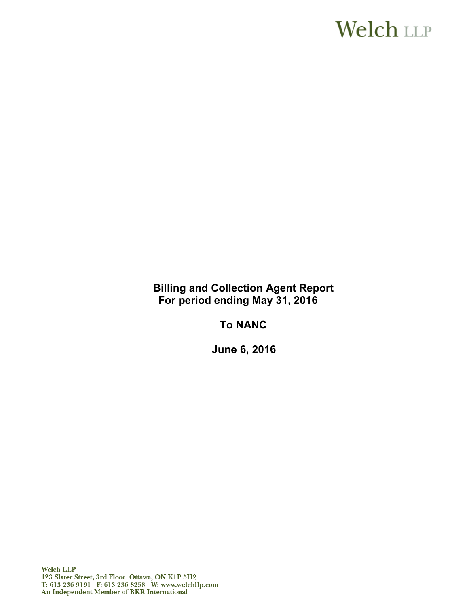# **Welch LLP**

**Billing and Collection Agent Report For period ending May 31, 2016**

**To NANC**

**June 6, 2016**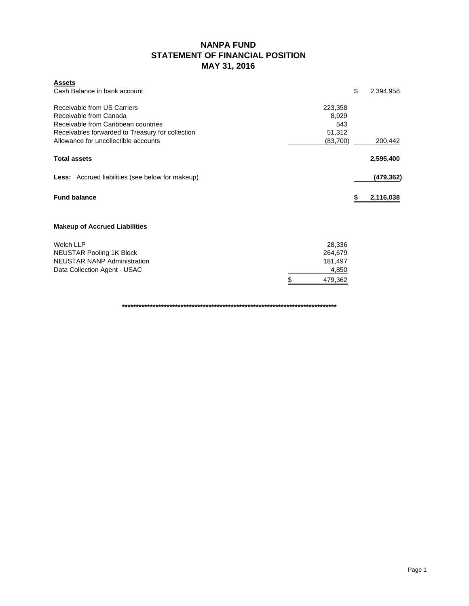### **NANPA FUND STATEMENT OF FINANCIAL POSITION MAY 31, 2016**

| <b>Assets</b>                                           |               |                 |
|---------------------------------------------------------|---------------|-----------------|
| Cash Balance in bank account                            |               | \$<br>2,394,958 |
| Receivable from US Carriers                             | 223,358       |                 |
| Receivable from Canada                                  | 8,929         |                 |
| Receivable from Caribbean countries                     | 543           |                 |
| Receivables forwarded to Treasury for collection        | 51,312        |                 |
| Allowance for uncollectible accounts                    | (83,700)      | 200,442         |
| <b>Total assets</b>                                     |               | 2,595,400       |
| <b>Less:</b> Accrued liabilities (see below for makeup) |               | (479,362)       |
| <b>Fund balance</b>                                     |               | 2,116,038<br>S  |
| <b>Makeup of Accrued Liabilities</b>                    |               |                 |
| Welch LLP                                               | 28,336        |                 |
| <b>NEUSTAR Pooling 1K Block</b>                         | 264,679       |                 |
| <b>NEUSTAR NANP Administration</b>                      | 181,497       |                 |
| Data Collection Agent - USAC                            | 4,850         |                 |
|                                                         | 479,362<br>\$ |                 |

**\*\*\*\*\*\*\*\*\*\*\*\*\*\*\*\*\*\*\*\*\*\*\*\*\*\*\*\*\*\*\*\*\*\*\*\*\*\*\*\*\*\*\*\*\*\*\*\*\*\*\*\*\*\*\*\*\*\*\*\*\*\*\*\*\*\*\*\*\*\*\*\*\*\*\*\*\***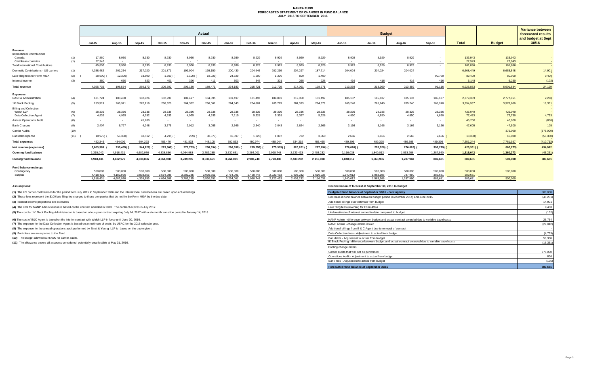#### **NANPA FUND FORECASTED STATEMENT OF CHANGES IN FUND BALANCE JULY 2015 TO SEPTEMBER 2016**

|                                          |            | Actual                 |                        |                                   |                        |                        |                        |                           |                        |                           |                        |                        |                        |                        |                      |                    | <b>Variance between</b> |                   |                             |
|------------------------------------------|------------|------------------------|------------------------|-----------------------------------|------------------------|------------------------|------------------------|---------------------------|------------------------|---------------------------|------------------------|------------------------|------------------------|------------------------|----------------------|--------------------|-------------------------|-------------------|-----------------------------|
|                                          |            |                        |                        |                                   |                        |                        |                        |                           |                        |                           |                        |                        |                        | <b>Budget</b>          |                      |                    |                         |                   | forecasted results          |
|                                          |            | <b>Jul-15</b>          | Aug-15                 | Sep-15                            | Oct-15                 | <b>Nov-15</b>          | <b>Dec-15</b>          | <b>Jan-16</b>             | Feb-16                 | Mar-16                    | Apr-16                 | Mav-16                 | <b>Jun-16</b>          | <b>Jul-16</b>          | Aug-16               | Sep-16             | <b>Total</b>            | <b>Budget</b>     | and budget at Sept<br>30/16 |
| Revenue                                  |            |                        |                        |                                   |                        |                        |                        |                           |                        |                           |                        |                        |                        |                        |                      |                    |                         |                   |                             |
| <b>International Contributions</b>       |            |                        |                        |                                   |                        |                        |                        |                           |                        |                           |                        |                        |                        |                        |                      |                    |                         |                   |                             |
| Canada<br>Caribbean countries            | (1)<br>(1) | 17,860<br>27.943       | 8,930<br>$\sim$        | 8,930<br><b>Contract Contract</b> | 8,930<br>$\sim$        | 8,930<br>$\sim 100$    | 8,930                  | 8,930<br>$\sim$ 100 $\pm$ | 8,929<br>$\sim$        | 8,929<br>$\sim$ 100 $\mu$ | 8,929<br>$\sim 100$    | 8,929<br>$\sim 100$    | 8,929<br>$\sim 100$    | 8,929<br>$\sim$        | 8,929<br>$\sim 100$  | $\sim$             | 133,943<br>27,943       | 133,943<br>27,943 |                             |
| <b>Total International Contributions</b> |            | 45,803                 | 8.930                  | 8,930                             | 8,930                  | 8,930                  | 8.930                  | 8,930                     | 8.929                  | 8,929                     | 8.929                  | 8,929                  | 8.929                  | 8.929                  | 8.929                | $\sim$             | 161.886                 | 161,886           |                             |
| Domestic Contributions - US carriers     | (1)        | 4,038,482              | 201,264                | 217,020                           | 201,871                | 199,904                | 198,150                | 200,430                   | 204,946                | 202,299                   | 204,297                | 187,714                | 204,024                | 204,024                | 204,024              |                    | 6,668,449               | 6,653,548         | 14,901                      |
| Late filing fees for Form 499A           | (2)        | 28,900)                | 12,300)                | 33,600                            | 1,600)                 | $3,100$ )              | 18,020)                | 24,320                    | 1,500                  | 1,200                     | 600                    | 1,400                  |                        |                        |                      | 90,700             | 89,400                  | 80,000            | 9,400                       |
| Interest income                          | (3)        | 350                    | 660                    | 623                               | 401                    | 396                    | 411                    | 503                       | 346                    | 301                       | 265                    | 228                    | 416                    | 416                    | 416                  | 416                | 6,148                   | 6,250             | (102)                       |
| <b>Total revenue</b>                     |            | 4.055.735              | 198,554                | 260,173                           | 209,602                | 206,130                | 189.471                | 234,183                   | 215,721                | 212,729                   | 214,091                | 198,271                | 213,369                | 213,369                | 213,369              | 91.116             | 6.925.883               | 6.901.684         | 24,199                      |
| <b>Expenses</b>                          |            |                        |                        |                                   |                        |                        |                        |                           |                        |                           |                        |                        |                        |                        |                      |                    |                         |                   |                             |
| <b>NANPA Administration</b>              | (4)        | 181,724                | 183,408                | 182,926                           | 182,999                | 181,497                | 184,095                | 181,497                   | 181,497                | 184,801                   | 212,850                | 181,497                | 185,137                | 185,137                | 185,137              | 185,137            | 2,779,339               | 2,777,061         | 2,278                       |
| 1K Block Pooling                         | (5)        | 253,919                | 266,971                | 270,119                           | 268,620                | 264,362                | 266,061                | 264,343                   | 264,801                | 265,729                   | 284,393                | 264,679                | 265,240                | 265,240                | 265,240              | 265,240            | 3,994,957               | 3,978,606         | 16,351                      |
| <b>Billing and Collection</b>            |            |                        |                        |                                   |                        |                        |                        |                           |                        |                           |                        |                        |                        |                        |                      |                    |                         |                   |                             |
| Welch LLP<br>Data Collection Agent       | (6)<br>(7) | 28,336<br>4,935        | 28,336<br>4,935        | 28,336<br>4,952                   | 28,336<br>4.935        | 28,336<br>4,935        | 28,336<br>4,935        | 28,336<br>7,115           | 28,336<br>5,328        | 28,336<br>5,328           | 28,336<br>5,357        | 28,336<br>5,328        | 28,336<br>4.850        | 28,336<br>4.850        | 28,336<br>4.850      | 28,336<br>4.850    | 425,040<br>77,483       | 425,040<br>72,750 | 4,733                       |
| <b>Annual Operations Audit</b>           | (8)        | $\sim$                 | $\sim$                 | 45,200                            | $\sim$                 | $\sim$ $-$             | $\sim$                 | $\sim$                    |                        | $\sim$                    | $\sim$                 |                        | $\sim$                 |                        | $\sim$               | $\sim$             | 45,200                  | 46,000            | (800)                       |
| <b>Bank Charges</b>                      | (9)        | 2.407                  | 6,727                  | 4,248                             | 3.375                  | 2,912                  | 3,055                  | 2.645                     | 2.340                  | 2.043                     | 2.624                  | 2.565                  | 3.166                  | 3,166                  | 3.166                | 3.166              | 47,605                  | 47,500            | 105                         |
| Carrier Audits                           | (10)       | $\sim$                 | $\sim$                 | $\sim$                            | $\sim$                 | $\sim$                 | $\sim$                 |                           |                        |                           |                        |                        |                        |                        |                      |                    |                         | 375,000           | (375,000)                   |
| Bad debt expense                         | (11)       | 18.975)                | 56,368)                | 68,512                            | 4,795)                 | 209)                   | 38,377                 | 16,897                    | 1,328)                 | 1,807                     | 732                    | 3,060                  | 2.666                  | 2.666                  | 2,666                | 2.666              | 18,380)                 | 40,000            | (58, 380)                   |
| <b>Total expenses</b>                    |            | 452.346                | 434,009                | 604,293                           | 483,470                | 481,833                | 448,105                | 500,833                   | 480,974                | 488,044                   | 534,292                | 485,465                | 489,395                | 489,395                | 489,395              | 489,395            | 7,351,244               | 7,761,957         | (410, 713)                  |
| Net revenue (expenses)                   |            | 3,603,389              | 235,455)               | 344,120)                          | 273,868)               | 275,703)               | 258,634)               | 266,650)                  | 265,253)               | 275,315)                  | 320,201) (             | 287,194) (             | 276,026)               | 276,026)               | 276,026)             | 398,279)           | $425,361$ (             | 860,273)          | 434,912                     |
| <b>Opening fund balance</b>              |            | 1,315,042              | 4.918.431              | 4.682.976                         | 4.338.856              | 4.064.988              | 3,789,285              | 3,530,651                 | 3,264,001              | 2,998,748                 | 2,723,433              | 2,403,232              | 2,116,038              | 1,840,012              | 1,563,986            | 1.287.960          | 1,315,042               | 1,360,273         | (45, 231)                   |
| <b>Closing fund balance</b>              |            | 4.918.431              | 4,682,976              | 4.338.856                         | 4.064.988              | 3,789,285              | 3.530.651              | 3.264.001                 | 2,998,748              | 2,723,433                 | 2,403,232              | 2,116,038              | 1,840,012              | 1,563,986              | 1,287,960            | 889.681            | 889.681                 | 500,000           | 389,681                     |
| Fund balance makeup:                     |            |                        |                        |                                   |                        |                        |                        |                           |                        |                           |                        |                        |                        |                        |                      |                    |                         |                   |                             |
| Contingency                              |            | 500,000                | 500,000                | 500,000                           | 500,000                | 500,000                | 500,000                | 500,000                   | 500,000                | 500,000                   | 500,000                | 500,000                | 500,000                | 500,000                | 500,000              | 500,000            | 500,000                 | 500,000           |                             |
| Surplus                                  |            | 4.418.431<br>4.918.431 | 4.182.976<br>4.682.976 | 3.838.856<br>4.338.856            | 3.564.988<br>4.064.988 | 3.289.285<br>3.789.285 | 3.030.651<br>3.530.651 | 2.764.001<br>3.264.001    | 2.498.748<br>2.998.748 | 2,223,433<br>2.723.433    | 1.903.232<br>2.403.232 | 1.616.038<br>2.116.038 | 1.340.012<br>1.840.012 | 1.063.986<br>1.563.986 | 787.960<br>1.287.960 | 389.681<br>889.681 | 389.681<br>889.681      | 500,000           |                             |
|                                          |            |                        |                        |                                   |                        |                        |                        |                           |                        |                           |                        |                        |                        |                        |                      |                    |                         |                   |                             |

**(1)** The US carrier contributions for the period from July 2015 to September 2016 and the International contributions are based upon actual billings.

(2) These fees represent the \$100 late filing fee charged to those companies that do not file the Form 499A by the due date.

**(3)** Interest income projections are estimates

**(4)** The cost for NANP Administration is based on the contract awarded in 2013. The contract expires in July 2017.

(5) The cost for 1K Block Pooling Administration is based on a four-year contract expiring July 14, 2017 with a six-month transition period to January 14, 2018.

**(6)** The cost of B&C Agent is based on the interim contract with Welch LLP in force until June 30, 2016.

**(7)** The expense for the Data Collection Agent is based on an estimate of costs by USAC for the 2015 calendar year.

**(8)** The expense for the annual operations audit performed by Ernst & Young LLP is based on the quote given.

**(9)** Bank fees are an expense to the Fund.

**(10)** The budget allowed \$375,000 for carrier audits.

**(11)** The allowance covers all accounts considered potentially uncollectible at May 31, 2016.

**Assumptions: Reconciliation of forecast at September 30, 2016 to budget**

| Budgeted fund balance at September 30/16 - contingency                                                | 500,000   |
|-------------------------------------------------------------------------------------------------------|-----------|
| Decrease in fund balance between budget period (December 2014) and June 2015                          | (45, 231) |
| Additional billings over estimate from budget                                                         | 14.901    |
| Late filing fees (reversal) for Form 499A                                                             | 9.400     |
| Underestimate of interest earned to date compared to budget                                           | (102)     |
| NANP Admin - difference between budget and actual contract awarded due to variable travel costs       | 26.764    |
| NANP Admin - change orders issued                                                                     | (29, 042) |
| Additional billings from B & C Agent due to renewal of contract                                       |           |
| Data Collection fees - Adjustment to actual from budget                                               | (4, 733)  |
| Bad debts - Adjustment to actual from budget                                                          | 58,380    |
| IK Block Pooling - difference between budget and actual contract awarded due to variable travel costs | (16, 351) |
| Pooling change orders                                                                                 |           |
| Carrier audits that will not be performed                                                             | 375,000   |
| Operations Audit - Adjustment to actual from budget                                                   | 800       |
| Bank fees - Adjustment to actual from budget                                                          | (105)     |
| Forecasted fund balance at September 30/16                                                            | 889.681   |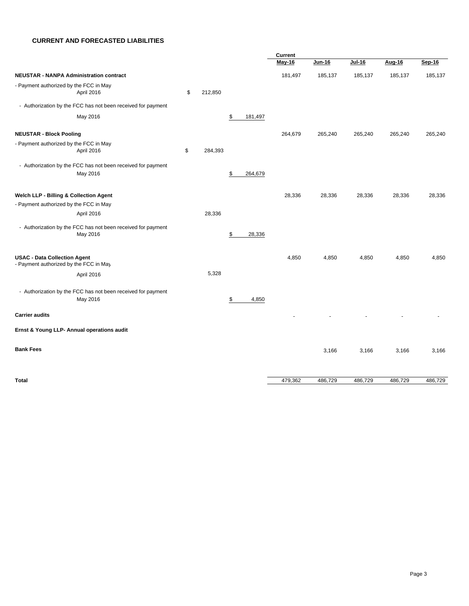#### **CURRENT AND FORECASTED LIABILITIES**

|                                                              |               |               | Current       |               |               |         |         |
|--------------------------------------------------------------|---------------|---------------|---------------|---------------|---------------|---------|---------|
|                                                              |               |               | <b>May-16</b> | <b>Jun-16</b> | <b>Jul-16</b> | Aug-16  | Sep-16  |
| <b>NEUSTAR - NANPA Administration contract</b>               |               |               | 181,497       | 185,137       | 185,137       | 185,137 | 185,137 |
| - Payment authorized by the FCC in May                       |               |               |               |               |               |         |         |
| April 2016                                                   | \$<br>212,850 |               |               |               |               |         |         |
| - Authorization by the FCC has not been received for payment |               |               |               |               |               |         |         |
| May 2016                                                     |               | \$<br>181,497 |               |               |               |         |         |
| <b>NEUSTAR - Block Pooling</b>                               |               |               | 264,679       | 265,240       | 265,240       | 265,240 | 265,240 |
| - Payment authorized by the FCC in May                       |               |               |               |               |               |         |         |
| April 2016                                                   | \$<br>284,393 |               |               |               |               |         |         |
| - Authorization by the FCC has not been received for payment |               |               |               |               |               |         |         |
| May 2016                                                     |               | \$<br>264,679 |               |               |               |         |         |
|                                                              |               |               |               |               |               |         |         |
| Welch LLP - Billing & Collection Agent                       |               |               | 28,336        | 28,336        | 28,336        | 28,336  | 28,336  |
| - Payment authorized by the FCC in May                       |               |               |               |               |               |         |         |
| April 2016                                                   | 28,336        |               |               |               |               |         |         |
| - Authorization by the FCC has not been received for payment |               |               |               |               |               |         |         |
| May 2016                                                     |               | \$<br>28,336  |               |               |               |         |         |
|                                                              |               |               |               |               |               |         |         |
| <b>USAC - Data Collection Agent</b>                          |               |               | 4,850         | 4,850         | 4,850         | 4,850   | 4,850   |
| - Payment authorized by the FCC in May                       |               |               |               |               |               |         |         |
| April 2016                                                   | 5,328         |               |               |               |               |         |         |
| - Authorization by the FCC has not been received for payment |               |               |               |               |               |         |         |
| May 2016                                                     |               | \$<br>4,850   |               |               |               |         |         |
|                                                              |               |               |               |               |               |         |         |
| <b>Carrier audits</b>                                        |               |               |               |               |               |         |         |
| Ernst & Young LLP- Annual operations audit                   |               |               |               |               |               |         |         |
|                                                              |               |               |               |               |               |         |         |
| <b>Bank Fees</b>                                             |               |               |               | 3,166         | 3,166         | 3,166   | 3,166   |
|                                                              |               |               |               |               |               |         |         |
| <b>Total</b>                                                 |               |               | 479,362       | 486,729       | 486,729       | 486,729 | 486,729 |